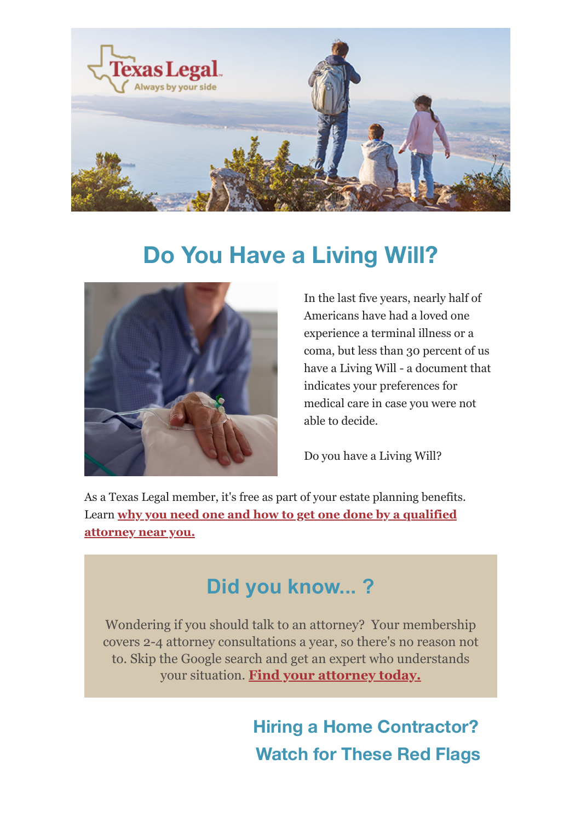

## **Do You Have a Living Will?**



In the last five years, nearly half of Americans have had a loved one experience a terminal illness or a coma, but less than 30 percent of us have a Living Will - a document that indicates your preferences for medical care in case you were not able to decide.

Do you have a Living Will?

As a Texas Legal member, it's free as part of your estate planning benefits. Learn **[why you need one and how to get one done by a qualified](https://texaslegal.org/texaslegal-blog/the-health-care-document-every-patient-needs) [attorney near you.](https://texaslegal.org/texaslegal-blog/the-health-care-document-every-patient-needs)**

## **Did you know... ?**

Wondering if you should talk to an attorney? Your membership covers 2-4 attorney consultations a year, so there's no reason not to. Skip the Google search and get an expert who understands your situation. **[Find your attorney today.](https://texaslegal.org/attorney-finder)**

> **Hiring a Home Contractor? Watch for These Red Flags**